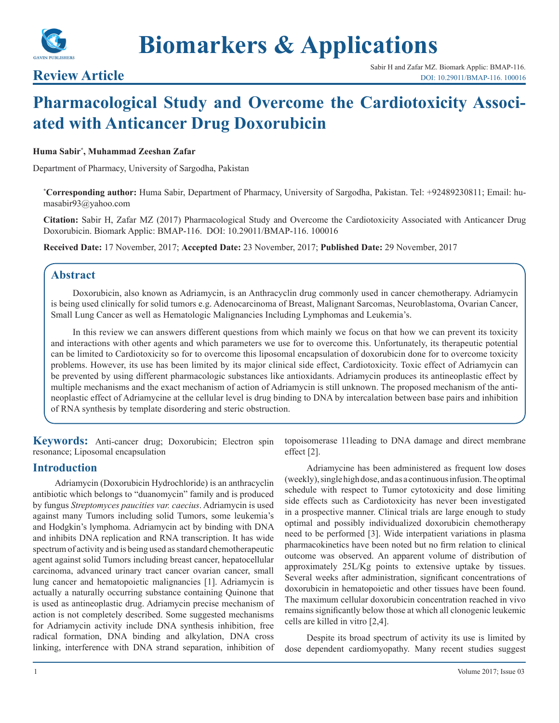

# **Biomarkers & Applications**

# **Pharmacological Study and Overcome the Cardiotoxicity Associated with Anticancer Drug Doxorubicin**

# **Huma Sabir\* , Muhammad Zeeshan Zafar**

Department of Pharmacy, University of Sargodha, Pakistan

**\* Corresponding author:** Huma Sabir, Department of Pharmacy, University of Sargodha, Pakistan. Tel: +92489230811; Email: humasabir93@yahoo.com

**Citation:** Sabir H, Zafar MZ (2017) Pharmacological Study and Overcome the Cardiotoxicity Associated with Anticancer Drug Doxorubicin. Biomark Applic: BMAP-116. DOI: 10.29011/BMAP-116. 100016

**Received Date:** 17 November, 2017; **Accepted Date:** 23 November, 2017; **Published Date:** 29 November, 2017

# **Abstract**

Doxorubicin, also known as Adriamycin, is an Anthracyclin drug commonly used in cancer chemotherapy. Adriamycin is being used clinically for solid tumors e.g. Adenocarcinoma of Breast, Malignant Sarcomas, Neuroblastoma, Ovarian Cancer, Small Lung Cancer as well as Hematologic Malignancies Including Lymphomas and Leukemia's.

In this review we can answers different questions from which mainly we focus on that how we can prevent its toxicity and interactions with other agents and which parameters we use for to overcome this. Unfortunately, its therapeutic potential can be limited to Cardiotoxicity so for to overcome this liposomal encapsulation of doxorubicin done for to overcome toxicity problems. However, its use has been limited by its major clinical side effect, Cardiotoxicity. Toxic effect of Adriamycin can be prevented by using different pharmacologic substances like antioxidants. Adriamycin produces its antineoplastic effect by multiple mechanisms and the exact mechanism of action of Adriamycin is still unknown. The proposed mechanism of the antineoplastic effect of Adriamycine at the cellular level is drug binding to DNA by intercalation between base pairs and inhibition of RNA synthesis by template disordering and steric obstruction.

**Keywords:** Anti-cancer drug; Doxorubicin; Electron spin resonance; Liposomal encapsulation

# **Introduction**

Adriamycin (Doxorubicin Hydrochloride) is an anthracyclin antibiotic which belongs to "duanomycin" family and is produced by fungus *Streptomyces paucities var. caecius*. Adriamycin is used against many Tumors including solid Tumors, some leukemia's and Hodgkin's lymphoma. Adriamycin act by binding with DNA and inhibits DNA replication and RNA transcription. It has wide spectrum of activity and is being used as standard chemotherapeutic agent against solid Tumors including breast cancer, hepatocellular carcinoma, advanced urinary tract cancer ovarian cancer, small lung cancer and hematopoietic malignancies [1]. Adriamycin is actually a naturally occurring substance containing Quinone that is used as antineoplastic drug. Adriamycin precise mechanism of action is not completely described. Some suggested mechanisms for Adriamycin activity include DNA synthesis inhibition, free radical formation, DNA binding and alkylation, DNA cross linking, interference with DNA strand separation, inhibition of topoisomerase 11leading to DNA damage and direct membrane effect [2].

Adriamycine has been administered as frequent low doses (weekly), single high dose, and as a continuous infusion. The optimal schedule with respect to Tumor cytotoxicity and dose limiting side effects such as Cardiotoxicity has never been investigated in a prospective manner. Clinical trials are large enough to study optimal and possibly individualized doxorubicin chemotherapy need to be performed [3]. Wide interpatient variations in plasma pharmacokinetics have been noted but no firm relation to clinical outcome was observed. An apparent volume of distribution of approximately 25L/Kg points to extensive uptake by tissues. Several weeks after administration, significant concentrations of doxorubicin in hematopoietic and other tissues have been found. The maximum cellular doxorubicin concentration reached in vivo remains significantly below those at which all clonogenic leukemic cells are killed in vitro [2,4].

Despite its broad spectrum of activity its use is limited by dose dependent cardiomyopathy. Many recent studies suggest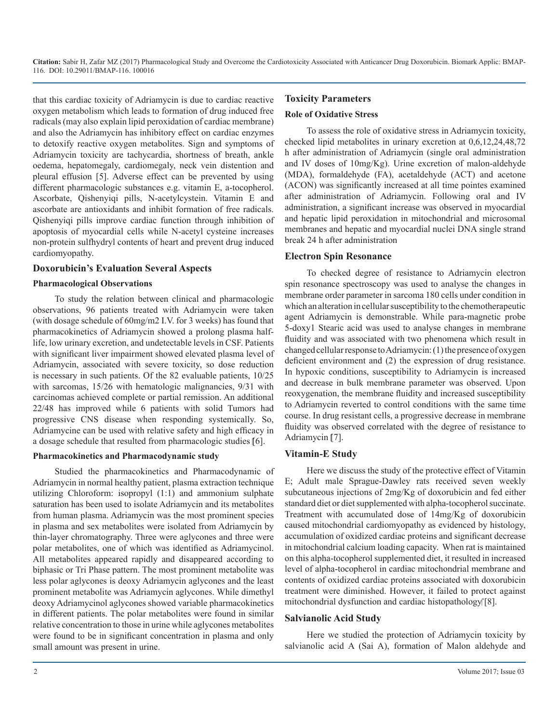**Citation:** Sabir H, Zafar MZ (2017) Pharmacological Study and Overcome the Cardiotoxicity Associated with Anticancer Drug Doxorubicin. Biomark Applic: BMAP-116. DOI: 10.29011/BMAP-116. 100016

that this cardiac toxicity of Adriamycin is due to cardiac reactive oxygen metabolism which leads to formation of drug induced free radicals (may also explain lipid peroxidation of cardiac membrane) and also the Adriamycin has inhibitory effect on cardiac enzymes to detoxify reactive oxygen metabolites. Sign and symptoms of Adriamycin toxicity are tachycardia, shortness of breath, ankle oedema, hepatomegaly, cardiomegaly, neck vein distention and pleural effusion [5]. Adverse effect can be prevented by using different pharmacologic substances e.g. vitamin E, a-tocopherol. Ascorbate, Qishenyiqi pills, N-acetylcystein. Vitamin E and ascorbate are antioxidants and inhibit formation of free radicals. Qishenyiqi pills improve cardiac function through inhibition of apoptosis of myocardial cells while N-acetyl cysteine increases non-protein sulfhydryl contents of heart and prevent drug induced cardiomyopathy.

# **Doxorubicin's Evaluation Several Aspects**

#### **Pharmacological Observations**

To study the relation between clinical and pharmacologic observations, 96 patients treated with Adriamycin were taken (with dosage schedule of 60mg/m2 I.V. for 3 weeks) has found that pharmacokinetics of Adriamycin showed a prolong plasma halflife, low urinary excretion, and undetectable levels in CSF. Patients with significant liver impairment showed elevated plasma level of Adriamycin, associated with severe toxicity, so dose reduction is necessary in such patients. Of the 82 evaluable patients, 10/25 with sarcomas, 15/26 with hematologic malignancies, 9/31 with carcinomas achieved complete or partial remission. An additional 22/48 has improved while 6 patients with solid Tumors had progressive CNS disease when responding systemically. So, Adriamycine can be used with relative safety and high efficacy in a dosage schedule that resulted from pharmacologic studies [6].

#### **Pharmacokinetics and Pharmacodynamic study**

Studied the pharmacokinetics and Pharmacodynamic of Adriamycin in normal healthy patient, plasma extraction technique utilizing Chloroform: isopropyl (1:1) and ammonium sulphate saturation has been used to isolate Adriamycin and its metabolites from human plasma. Adriamycin was the most prominent species in plasma and sex metabolites were isolated from Adriamycin by thin-layer chromatography. Three were aglycones and three were polar metabolites, one of which was identified as Adriamycinol. All metabolites appeared rapidly and disappeared according to biphasic or Tri Phase pattern. The most prominent metabolite was less polar aglycones is deoxy Adriamycin aglycones and the least prominent metabolite was Adriamycin aglycones. While dimethyl deoxy Adriamycinol aglycones showed variable pharmacokinetics in different patients. The polar metabolites were found in similar relative concentration to those in urine while aglycones metabolites were found to be in significant concentration in plasma and only small amount was present in urine.

# **Toxicity Parameters**

#### **Role of Oxidative Stress**

To assess the role of oxidative stress in Adriamycin toxicity, checked lipid metabolites in urinary excretion at 0,6,12,24,48,72 h after administration of Adriamycin (single oral administration and IV doses of 10mg/Kg). Urine excretion of malon-aldehyde (MDA), formaldehyde (FA), acetaldehyde (ACT) and acetone (ACON) was significantly increased at all time pointes examined after administration of Adriamycin. Following oral and IV administration, a significant increase was observed in myocardial and hepatic lipid peroxidation in mitochondrial and microsomal membranes and hepatic and myocardial nuclei DNA single strand break 24 h after administration

# **Electron Spin Resonance**

To checked degree of resistance to Adriamycin electron spin resonance spectroscopy was used to analyse the changes in membrane order parameter in sarcoma 180 cells under condition in which an alteration in cellular susceptibility to the chemotherapeutic agent Adriamycin is demonstrable. While para-magnetic probe 5-doxy1 Stearic acid was used to analyse changes in membrane fluidity and was associated with two phenomena which result in changed cellular response to Adriamycin: (1) the presence of oxygen deficient environment and (2) the expression of drug resistance. In hypoxic conditions, susceptibility to Adriamycin is increased and decrease in bulk membrane parameter was observed. Upon reoxygenation, the membrane fluidity and increased susceptibility to Adriamycin reverted to control conditions with the same time course. In drug resistant cells, a progressive decrease in membrane fluidity was observed correlated with the degree of resistance to Adriamycin [7].

### **Vitamin-E Study**

Here we discuss the study of the protective effect of Vitamin E; Adult male Sprague-Dawley rats received seven weekly subcutaneous injections of 2mg/Kg of doxorubicin and fed either standard diet or diet supplemented with alpha-tocopherol succinate. Treatment with accumulated dose of 14mg/Kg of doxorubicin caused mitochondrial cardiomyopathy as evidenced by histology, accumulation of oxidized cardiac proteins and significant decrease in mitochondrial calcium loading capacity. When rat is maintained on this alpha-tocopherol supplemented diet, it resulted in increased level of alpha-tocopherol in cardiac mitochondrial membrane and contents of oxidized cardiac proteins associated with doxorubicin treatment were diminished. However, it failed to protect against mitochondrial dysfunction and cardiac histopathology [8].

#### **Salvianolic Acid Study**

Here we studied the protection of Adriamycin toxicity by salvianolic acid A (Sai A), formation of Malon aldehyde and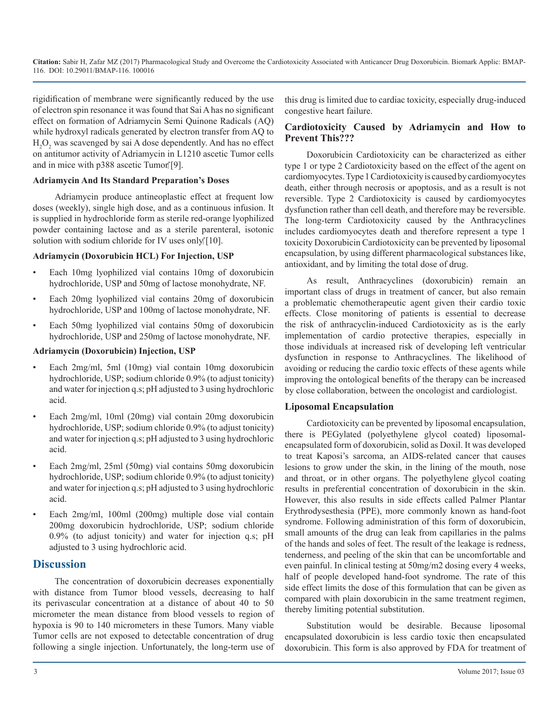rigidification of membrane were significantly reduced by the use of electron spin resonance it was found that Sai A has no significant effect on formation of Adriamycin Semi Quinone Radicals (AQ) while hydroxyl radicals generated by electron transfer from AQ to  $H_2O_2$  was scavenged by sai A dose dependently. And has no effect on antitumor activity of Adriamycin in L1210 ascetic Tumor cells and in mice with  $p388$  ascetic Tumor [9].

# **Adriamycin And Its Standard Preparation's Doses**

Adriamycin produce antineoplastic effect at frequent low doses (weekly), single high dose, and as a continuous infusion. It is supplied in hydrochloride form as sterile red-orange lyophilized powder containing lactose and as a sterile parenteral, isotonic solution with sodium chloride for IV uses only $[10]$ .

# **Adriamycin (Doxorubicin HCL) For Injection, USP**

- Each 10mg lyophilized vial contains 10mg of doxorubicin hydrochloride, USP and 50mg of lactose monohydrate, NF.
- Each 20mg lyophilized vial contains 20mg of doxorubicin hydrochloride, USP and 100mg of lactose monohydrate, NF.
- Each 50mg lyophilized vial contains 50mg of doxorubicin hydrochloride, USP and 250mg of lactose monohydrate, NF.

# **Adriamycin (Doxorubicin) Injection, USP**

- Each 2mg/ml, 5ml (10mg) vial contain 10mg doxorubicin hydrochloride, USP; sodium chloride 0.9% (to adjust tonicity) and water for injection q.s; pH adjusted to 3 using hydrochloric acid.
- Each 2mg/ml, 10ml (20mg) vial contain 20mg doxorubicin hydrochloride, USP; sodium chloride 0.9% (to adjust tonicity) and water for injection q.s; pH adjusted to 3 using hydrochloric acid.
- Each 2mg/ml, 25ml (50mg) vial contains 50mg doxorubicin hydrochloride, USP; sodium chloride 0.9% (to adjust tonicity) and water for injection q.s; pH adjusted to 3 using hydrochloric acid.
- Each 2mg/ml, 100ml (200mg) multiple dose vial contain 200mg doxorubicin hydrochloride, USP; sodium chloride 0.9% (to adjust tonicity) and water for injection q.s; pH adjusted to 3 using hydrochloric acid.

# **Discussion**

The concentration of doxorubicin decreases exponentially with distance from Tumor blood vessels, decreasing to half its perivascular concentration at a distance of about 40 to 50 micrometer the mean distance from blood vessels to region of hypoxia is 90 to 140 micrometers in these Tumors. Many viable Tumor cells are not exposed to detectable concentration of drug following a single injection. Unfortunately, the long-term use of this drug is limited due to cardiac toxicity, especially drug-induced congestive heart failure.

# **Cardiotoxicity Caused by Adriamycin and How to Prevent This???**

Doxorubicin Cardiotoxicity can be characterized as either type 1 or type 2 Cardiotoxicity based on the effect of the agent on cardiomyocytes. Type 1 Cardiotoxicity is caused by cardiomyocytes death, either through necrosis or apoptosis, and as a result is not reversible. Type 2 Cardiotoxicity is caused by cardiomyocytes dysfunction rather than cell death, and therefore may be reversible. The long-term Cardiotoxicity caused by the Anthracyclines includes cardiomyocytes death and therefore represent a type 1 toxicity Doxorubicin Cardiotoxicity can be prevented by liposomal encapsulation, by using different pharmacological substances like, antioxidant, and by limiting the total dose of drug.

As result, Anthracyclines (doxorubicin) remain an important class of drugs in treatment of cancer, but also remain a problematic chemotherapeutic agent given their cardio toxic effects. Close monitoring of patients is essential to decrease the risk of anthracyclin-induced Cardiotoxicity as is the early implementation of cardio protective therapies, especially in those individuals at increased risk of developing left ventricular dysfunction in response to Anthracyclines. The likelihood of avoiding or reducing the cardio toxic effects of these agents while improving the ontological benefits of the therapy can be increased by close collaboration, between the oncologist and cardiologist.

# **Liposomal Encapsulation**

Cardiotoxicity can be prevented by liposomal encapsulation, there is PEGylated (polyethylene glycol coated) liposomalencapsulated form of doxorubicin, solid as Doxil. It was developed to treat Kaposi's sarcoma, an AIDS-related cancer that causes lesions to grow under the skin, in the lining of the mouth, nose and throat, or in other organs. The polyethylene glycol coating results in preferential concentration of doxorubicin in the skin. However, this also results in side effects called Palmer Plantar Erythrodysesthesia (PPE), more commonly known as hand-foot syndrome. Following administration of this form of doxorubicin, small amounts of the drug can leak from capillaries in the palms of the hands and soles of feet. The result of the leakage is redness, tenderness, and peeling of the skin that can be uncomfortable and even painful. In clinical testing at 50mg/m2 dosing every 4 weeks, half of people developed hand-foot syndrome. The rate of this side effect limits the dose of this formulation that can be given as compared with plain doxorubicin in the same treatment regimen, thereby limiting potential substitution.

Substitution would be desirable. Because liposomal encapsulated doxorubicin is less cardio toxic then encapsulated doxorubicin. This form is also approved by FDA for treatment of